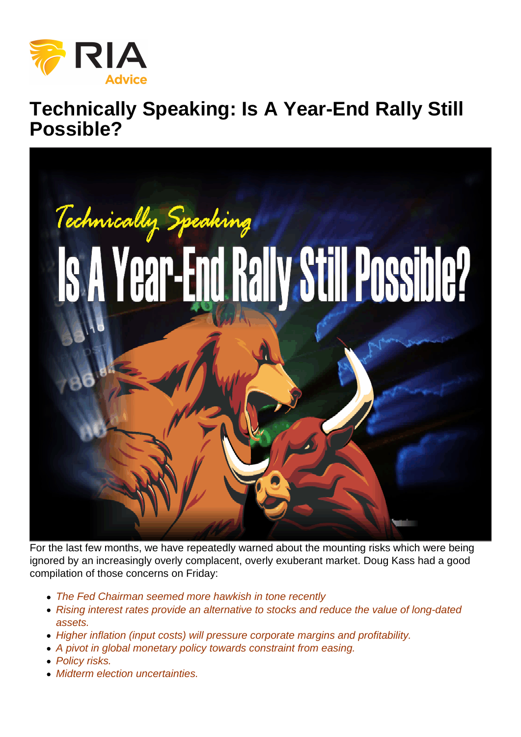## Technically Speaking: Is A Year-End Rally Still Possible?

For the last few months, we have repeatedly warned about the mounting risks which were being ignored by an increasingly overly complacent, overly exuberant market. Doug Kass had a good compilation of those concerns on Friday:

- The Fed Chairman seemed more hawkish in tone recently
- Rising interest rates provide an alternative to stocks and reduce the value of long-dated assets.
- Higher inflation (input costs) will pressure corporate margins and profitability.
- A pivot in global monetary policy towards constraint from easing.
- Policy risks.
- Midterm election uncertainties.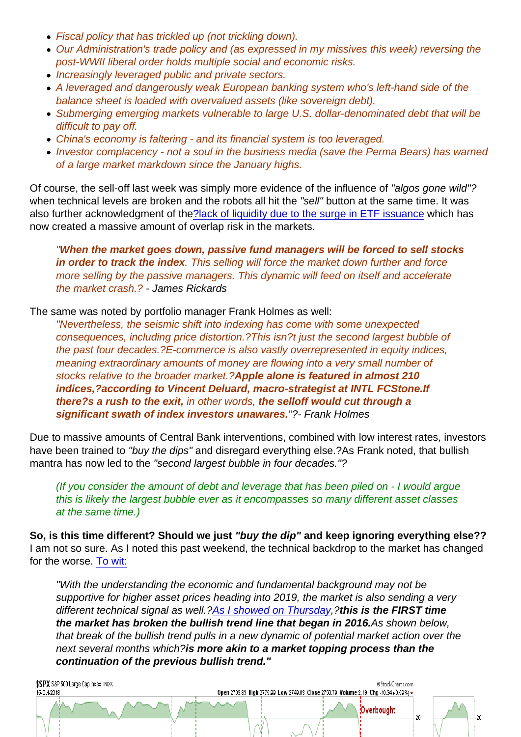- Fiscal policy that has trickled up (not trickling down).
- Our Administration's trade policy and (as expressed in my missives this week) reversing the post-WWII liberal order holds multiple social and economic risks.
- Increasingly leveraged public and private sectors.
- A leveraged and dangerously weak European banking system who's left-hand side of the balance sheet is loaded with overvalued assets (like sovereign debt).
- Submerging emerging markets vulnerable to large U.S. dollar-denominated debt that will be difficult to pay off.
- China's economy is faltering and its financial system is too leveraged.
- Investor complacency not a soul in the business media (save the Perma Bears) has warned of a large market markdown since the January highs.

Of course, the sell-off last week was simply more evidence of the influence of "algos gone wild"? when technical levels are broken and the robots all hit the "sell" button at the same time. It was also further acknowledgment of the[?lack of liquidity due to the surge in ETF issuance](https://realinvestmentadvice.com/the-risk-of-an-etf-driven-liquidity-crash/) which has now created a massive amount of overlap risk in the markets.

"When the market goes down, passive fund managers will be forced to sell stocks in order to track the index . This selling will force the market down further and force more selling by the passive managers. This dynamic will feed on itself and accelerate the market crash.? - James Rickards

The same was noted by portfolio manager Frank Holmes as well:

"Nevertheless, the seismic shift into indexing has come with some unexpected consequences, including price distortion.?This isn?t just the second largest bubble of the past four decades.?E-commerce is also vastly overrepresented in equity indices, meaning extraordinary amounts of money are flowing into a very small number of stocks relative to the broader market.?Apple alone is featured in almost 210 indices,?according to Vincent Deluard, macro-strategist at INTL FCStone. If there?s a rush to the exit, in other words, the selloff would cut through a significant swath of index investors unawares. "?- Frank Holmes

Due to massive amounts of Central Bank interventions, combined with low interest rates, investors have been trained to "buy the dips" and disregard everything else.?As Frank noted, that bullish mantra has now led to the "second largest bubble in four decades."?

(If you consider the amount of debt and leverage that has been piled on - I would argue this is likely the largest bubble ever as it encompasses so many different asset classes at the same time.)

So, is this time different? Should we just "buy the dip" and keep ignoring everything else?? I am not so sure. As I noted this past weekend, the technical backdrop to the market has changed for the worse. [To wit:](https://realinvestmentadvice.com/yes-something-just-broke-10-12-18/)

"With the understanding the economic and fundamental background may not be supportive for higher asset prices heading into 2019, the market is also sending a very different technical signal as well.?[As I showed on Thursday](https://realinvestmentadvice.com/technically-speaking-update-markets-fail-to-hold-support/),?this is the FIRST time the market has broken the bullish trend line that began in 2016. As shown below, that break of the bullish trend pulls in a new dynamic of potential market action over the next several months which?is more akin to a market topping process than the continuation of the previous bullish trend."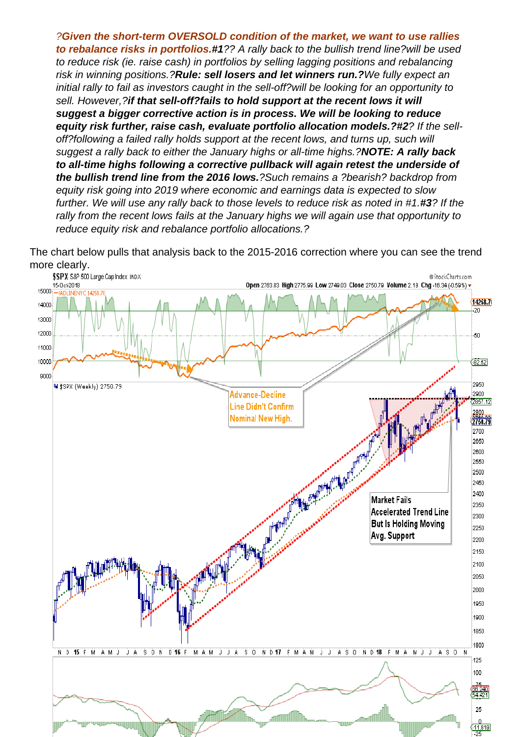?Given the short-term OVERSOLD condition of the market, we want to use rallies to rebalance risks in portfolios. #1?? A rally back to the bullish trend line?will be used to reduce risk (ie. raise cash) in portfolios by selling lagging positions and rebalancing risk in winning positions.?Rule: sell losers and let winners run.? We fully expect an initial rally to fail as investors caught in the sell-off?will be looking for an opportunity to sell. However,?if that sell-off?fails to hold support at the recent lows it will suggest a bigger corrective action is in process. We will be looking to reduce equity risk further, raise cash, evaluate portfolio allocation models.? #2? If the selloff?following a failed rally holds support at the recent lows, and turns up, such will suggest a rally back to either the January highs or all-time highs.?NOTE: A rally back to all-time highs following a corrective pullback will again retest the underside of the bullish trend line from the 2016 lows. ?Such remains a ?bearish? backdrop from equity risk going into 2019 where economic and earnings data is expected to slow further. We will use any rally back to those levels to reduce risk as noted in #1.#3? If the rally from the recent lows fails at the January highs we will again use that opportunity to reduce equity risk and rebalance portfolio allocations.?

The chart below pulls that analysis back to the 2015-2016 correction where you can see the trend more clearly.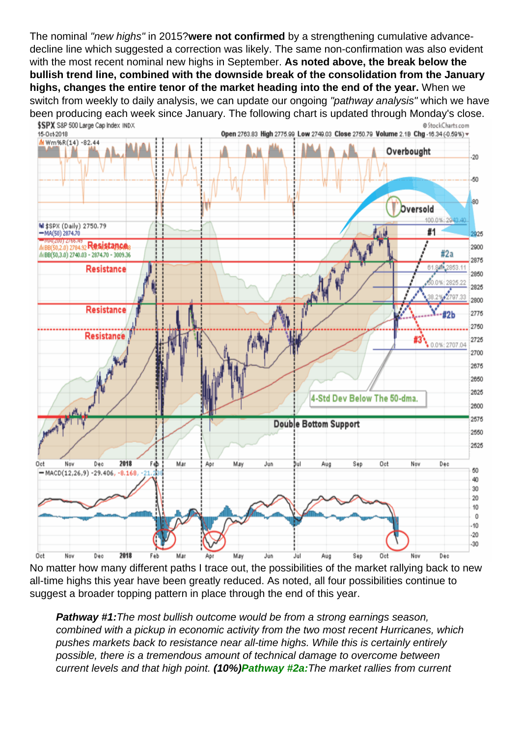The nominal "new highs" in 2015?were not confirmed by a strengthening cumulative advancedecline line which suggested a correction was likely. The same non-confirmation was also evident with the most recent nominal new highs in September. As noted above, the break below the bullish trend line, combined with the downside break of the consolidation from the January highs, changes the entire tenor of the market heading into the end of the year. When we switch from weekly to daily analysis, we can update our ongoing "pathway analysis" which we have been producing each week since January. The following chart is updated through Monday's close.

No matter how many different paths I trace out, the possibilities of the market rallying back to new all-time highs this year have been greatly reduced. As noted, all four possibilities continue to suggest a broader topping pattern in place through the end of this year.

Pathway #1: The most bullish outcome would be from a strong earnings season, combined with a pickup in economic activity from the two most recent Hurricanes, which pushes markets back to resistance near all-time highs. While this is certainly entirely possible, there is a tremendous amount of technical damage to overcome between current levels and that high point. (10%)Pathway #2a: The market rallies from current